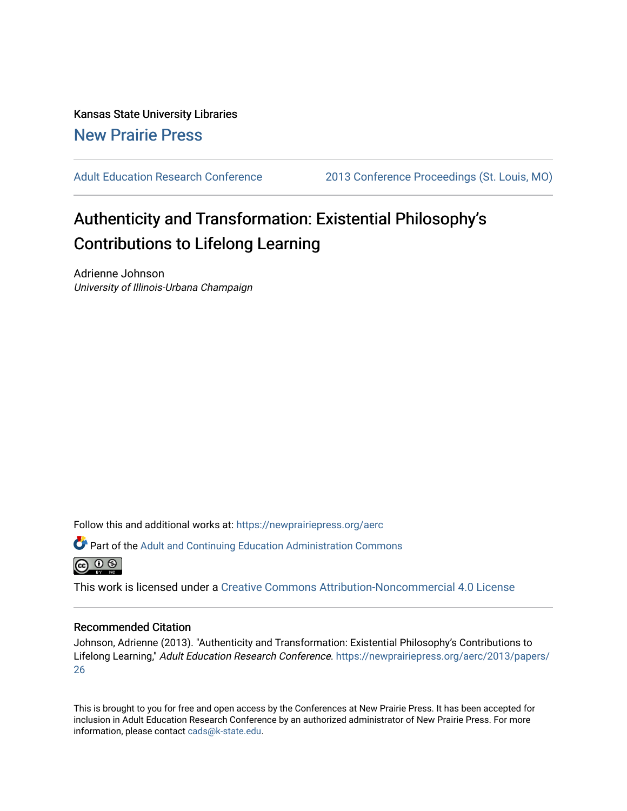Kansas State University Libraries [New Prairie Press](https://newprairiepress.org/) 

[Adult Education Research Conference](https://newprairiepress.org/aerc) [2013 Conference Proceedings \(St. Louis, MO\)](https://newprairiepress.org/aerc/2013) 

# Authenticity and Transformation: Existential Philosophy's Contributions to Lifelong Learning

Adrienne Johnson University of Illinois-Urbana Champaign

Follow this and additional works at: [https://newprairiepress.org/aerc](https://newprairiepress.org/aerc?utm_source=newprairiepress.org%2Faerc%2F2013%2Fpapers%2F26&utm_medium=PDF&utm_campaign=PDFCoverPages)

Part of the [Adult and Continuing Education Administration Commons](http://network.bepress.com/hgg/discipline/789?utm_source=newprairiepress.org%2Faerc%2F2013%2Fpapers%2F26&utm_medium=PDF&utm_campaign=PDFCoverPages)



This work is licensed under a [Creative Commons Attribution-Noncommercial 4.0 License](https://creativecommons.org/licenses/by-nc/4.0/)

# Recommended Citation

Johnson, Adrienne (2013). "Authenticity and Transformation: Existential Philosophy's Contributions to Lifelong Learning," Adult Education Research Conference. [https://newprairiepress.org/aerc/2013/papers/](https://newprairiepress.org/aerc/2013/papers/26) [26](https://newprairiepress.org/aerc/2013/papers/26)

This is brought to you for free and open access by the Conferences at New Prairie Press. It has been accepted for inclusion in Adult Education Research Conference by an authorized administrator of New Prairie Press. For more information, please contact [cads@k-state.edu](mailto:cads@k-state.edu).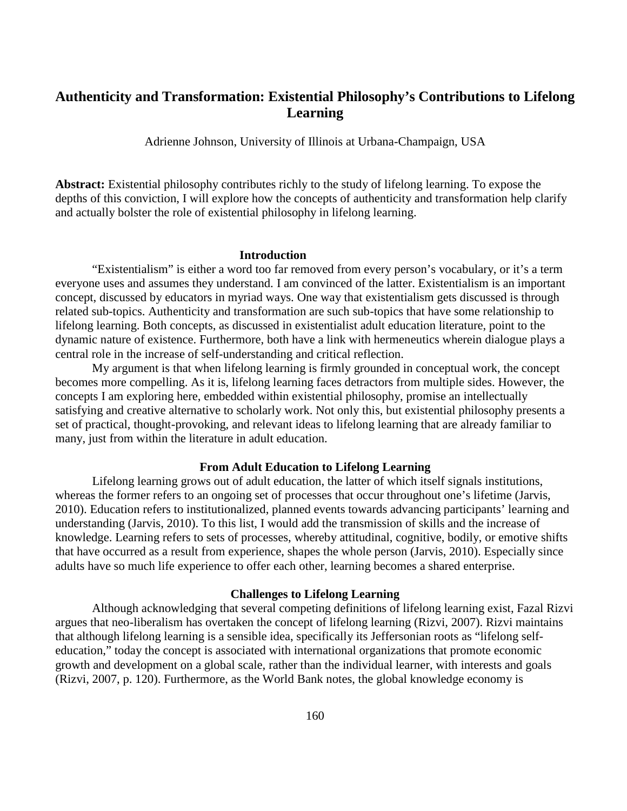# **Authenticity and Transformation: Existential Philosophy's Contributions to Lifelong Learning**

Adrienne Johnson, University of Illinois at Urbana-Champaign, USA

**Abstract:** Existential philosophy contributes richly to the study of lifelong learning. To expose the depths of this conviction, I will explore how the concepts of authenticity and transformation help clarify and actually bolster the role of existential philosophy in lifelong learning.

#### **Introduction**

"Existentialism" is either a word too far removed from every person's vocabulary, or it's a term everyone uses and assumes they understand. I am convinced of the latter. Existentialism is an important concept, discussed by educators in myriad ways. One way that existentialism gets discussed is through related sub-topics. Authenticity and transformation are such sub-topics that have some relationship to lifelong learning. Both concepts, as discussed in existentialist adult education literature, point to the dynamic nature of existence. Furthermore, both have a link with hermeneutics wherein dialogue plays a central role in the increase of self-understanding and critical reflection.

My argument is that when lifelong learning is firmly grounded in conceptual work, the concept becomes more compelling. As it is, lifelong learning faces detractors from multiple sides. However, the concepts I am exploring here, embedded within existential philosophy, promise an intellectually satisfying and creative alternative to scholarly work. Not only this, but existential philosophy presents a set of practical, thought-provoking, and relevant ideas to lifelong learning that are already familiar to many, just from within the literature in adult education.

#### **From Adult Education to Lifelong Learning**

 Lifelong learning grows out of adult education, the latter of which itself signals institutions, whereas the former refers to an ongoing set of processes that occur throughout one's lifetime (Jarvis, 2010). Education refers to institutionalized, planned events towards advancing participants' learning and understanding (Jarvis, 2010). To this list, I would add the transmission of skills and the increase of knowledge. Learning refers to sets of processes, whereby attitudinal, cognitive, bodily, or emotive shifts that have occurred as a result from experience, shapes the whole person (Jarvis, 2010). Especially since adults have so much life experience to offer each other, learning becomes a shared enterprise.

# **Challenges to Lifelong Learning**

Although acknowledging that several competing definitions of lifelong learning exist, Fazal Rizvi argues that neo-liberalism has overtaken the concept of lifelong learning (Rizvi, 2007). Rizvi maintains that although lifelong learning is a sensible idea, specifically its Jeffersonian roots as "lifelong selfeducation," today the concept is associated with international organizations that promote economic growth and development on a global scale, rather than the individual learner, with interests and goals (Rizvi, 2007, p. 120). Furthermore, as the World Bank notes, the global knowledge economy is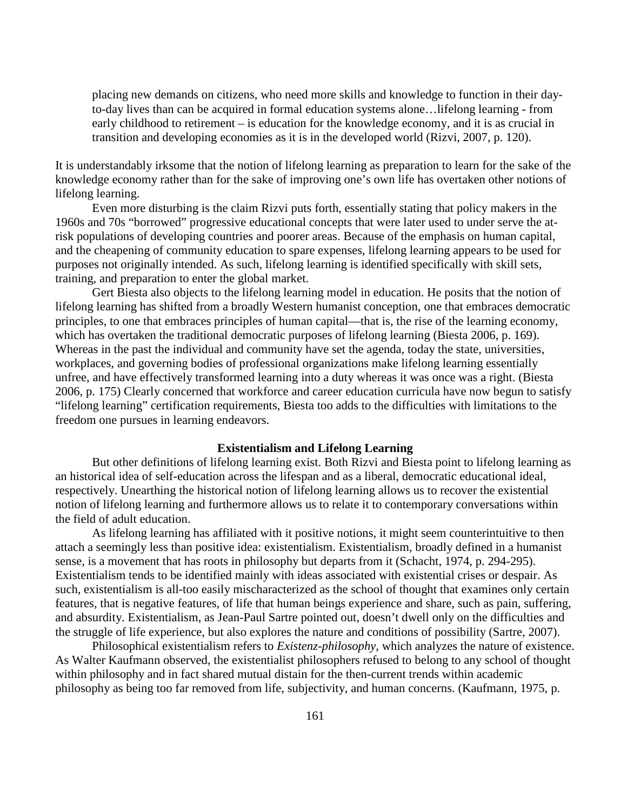placing new demands on citizens, who need more skills and knowledge to function in their dayto-day lives than can be acquired in formal education systems alone…lifelong learning - from early childhood to retirement – is education for the knowledge economy, and it is as crucial in transition and developing economies as it is in the developed world (Rizvi, 2007, p. 120).

It is understandably irksome that the notion of lifelong learning as preparation to learn for the sake of the knowledge economy rather than for the sake of improving one's own life has overtaken other notions of lifelong learning.

Even more disturbing is the claim Rizvi puts forth, essentially stating that policy makers in the 1960s and 70s "borrowed" progressive educational concepts that were later used to under serve the atrisk populations of developing countries and poorer areas. Because of the emphasis on human capital, and the cheapening of community education to spare expenses, lifelong learning appears to be used for purposes not originally intended. As such, lifelong learning is identified specifically with skill sets, training, and preparation to enter the global market.

Gert Biesta also objects to the lifelong learning model in education. He posits that the notion of lifelong learning has shifted from a broadly Western humanist conception, one that embraces democratic principles, to one that embraces principles of human capital—that is, the rise of the learning economy, which has overtaken the traditional democratic purposes of lifelong learning (Biesta 2006, p. 169). Whereas in the past the individual and community have set the agenda, today the state, universities, workplaces, and governing bodies of professional organizations make lifelong learning essentially unfree, and have effectively transformed learning into a duty whereas it was once was a right. (Biesta 2006, p. 175) Clearly concerned that workforce and career education curricula have now begun to satisfy "lifelong learning" certification requirements, Biesta too adds to the difficulties with limitations to the freedom one pursues in learning endeavors.

#### **Existentialism and Lifelong Learning**

But other definitions of lifelong learning exist. Both Rizvi and Biesta point to lifelong learning as an historical idea of self-education across the lifespan and as a liberal, democratic educational ideal, respectively. Unearthing the historical notion of lifelong learning allows us to recover the existential notion of lifelong learning and furthermore allows us to relate it to contemporary conversations within the field of adult education.

As lifelong learning has affiliated with it positive notions, it might seem counterintuitive to then attach a seemingly less than positive idea: existentialism. Existentialism, broadly defined in a humanist sense, is a movement that has roots in philosophy but departs from it (Schacht, 1974, p. 294-295). Existentialism tends to be identified mainly with ideas associated with existential crises or despair. As such, existentialism is all-too easily mischaracterized as the school of thought that examines only certain features, that is negative features, of life that human beings experience and share, such as pain, suffering, and absurdity. Existentialism, as Jean-Paul Sartre pointed out, doesn't dwell only on the difficulties and the struggle of life experience, but also explores the nature and conditions of possibility (Sartre, 2007).

Philosophical existentialism refers to *Existenz-philosophy*, which analyzes the nature of existence. As Walter Kaufmann observed, the existentialist philosophers refused to belong to any school of thought within philosophy and in fact shared mutual distain for the then-current trends within academic philosophy as being too far removed from life, subjectivity, and human concerns. (Kaufmann, 1975, p.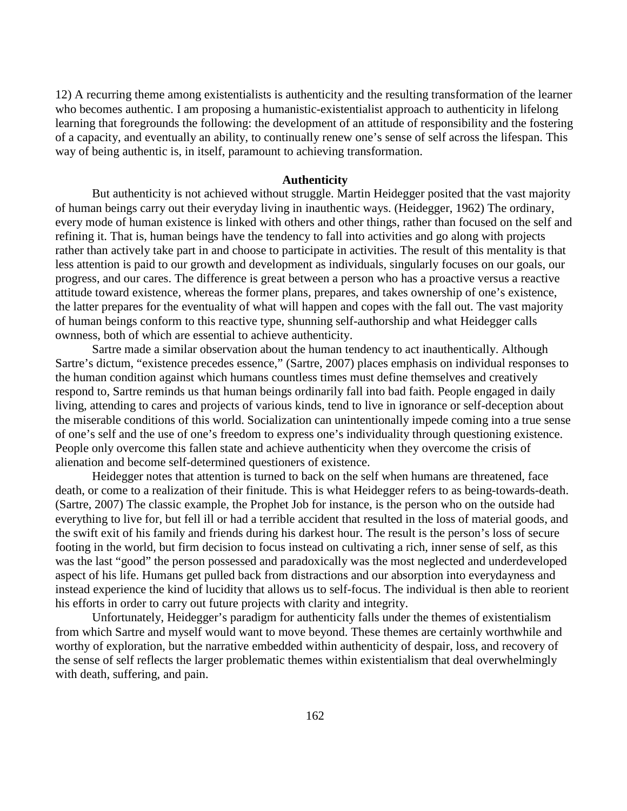12) A recurring theme among existentialists is authenticity and the resulting transformation of the learner who becomes authentic. I am proposing a humanistic-existentialist approach to authenticity in lifelong learning that foregrounds the following: the development of an attitude of responsibility and the fostering of a capacity, and eventually an ability, to continually renew one's sense of self across the lifespan. This way of being authentic is, in itself, paramount to achieving transformation.

## **Authenticity**

But authenticity is not achieved without struggle. Martin Heidegger posited that the vast majority of human beings carry out their everyday living in inauthentic ways. (Heidegger, 1962) The ordinary, every mode of human existence is linked with others and other things, rather than focused on the self and refining it. That is, human beings have the tendency to fall into activities and go along with projects rather than actively take part in and choose to participate in activities. The result of this mentality is that less attention is paid to our growth and development as individuals, singularly focuses on our goals, our progress, and our cares. The difference is great between a person who has a proactive versus a reactive attitude toward existence, whereas the former plans, prepares, and takes ownership of one's existence, the latter prepares for the eventuality of what will happen and copes with the fall out. The vast majority of human beings conform to this reactive type, shunning self-authorship and what Heidegger calls ownness, both of which are essential to achieve authenticity.

Sartre made a similar observation about the human tendency to act inauthentically. Although Sartre's dictum, "existence precedes essence," (Sartre, 2007) places emphasis on individual responses to the human condition against which humans countless times must define themselves and creatively respond to, Sartre reminds us that human beings ordinarily fall into bad faith. People engaged in daily living, attending to cares and projects of various kinds, tend to live in ignorance or self-deception about the miserable conditions of this world. Socialization can unintentionally impede coming into a true sense of one's self and the use of one's freedom to express one's individuality through questioning existence. People only overcome this fallen state and achieve authenticity when they overcome the crisis of alienation and become self-determined questioners of existence.

Heidegger notes that attention is turned to back on the self when humans are threatened, face death, or come to a realization of their finitude. This is what Heidegger refers to as being-towards-death. (Sartre, 2007) The classic example, the Prophet Job for instance, is the person who on the outside had everything to live for, but fell ill or had a terrible accident that resulted in the loss of material goods, and the swift exit of his family and friends during his darkest hour. The result is the person's loss of secure footing in the world, but firm decision to focus instead on cultivating a rich, inner sense of self, as this was the last "good" the person possessed and paradoxically was the most neglected and underdeveloped aspect of his life. Humans get pulled back from distractions and our absorption into everydayness and instead experience the kind of lucidity that allows us to self-focus. The individual is then able to reorient his efforts in order to carry out future projects with clarity and integrity.

Unfortunately, Heidegger's paradigm for authenticity falls under the themes of existentialism from which Sartre and myself would want to move beyond. These themes are certainly worthwhile and worthy of exploration, but the narrative embedded within authenticity of despair, loss, and recovery of the sense of self reflects the larger problematic themes within existentialism that deal overwhelmingly with death, suffering, and pain.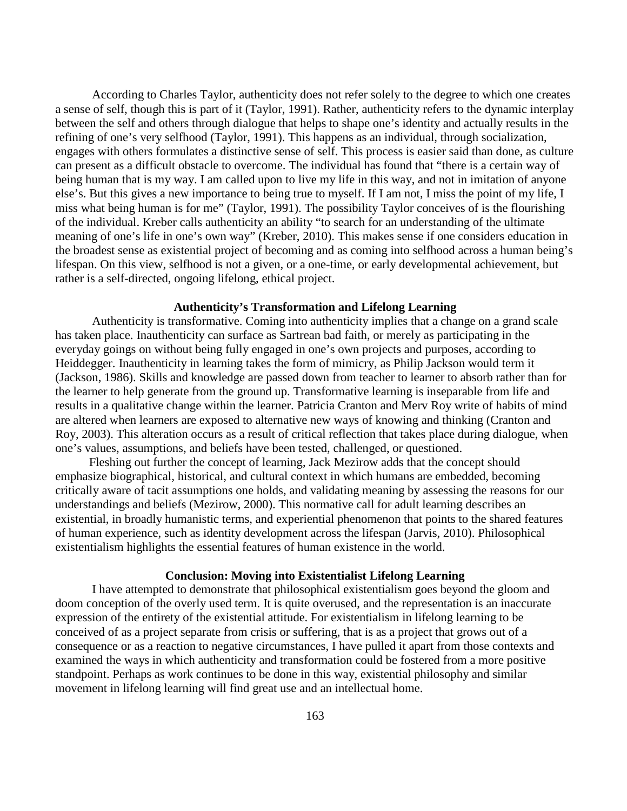According to Charles Taylor, authenticity does not refer solely to the degree to which one creates a sense of self, though this is part of it (Taylor, 1991). Rather, authenticity refers to the dynamic interplay between the self and others through dialogue that helps to shape one's identity and actually results in the refining of one's very selfhood (Taylor, 1991). This happens as an individual, through socialization, engages with others formulates a distinctive sense of self. This process is easier said than done, as culture can present as a difficult obstacle to overcome. The individual has found that "there is a certain way of being human that is my way. I am called upon to live my life in this way, and not in imitation of anyone else's. But this gives a new importance to being true to myself. If I am not, I miss the point of my life, I miss what being human is for me" (Taylor, 1991). The possibility Taylor conceives of is the flourishing of the individual. Kreber calls authenticity an ability "to search for an understanding of the ultimate meaning of one's life in one's own way" (Kreber, 2010). This makes sense if one considers education in the broadest sense as existential project of becoming and as coming into selfhood across a human being's lifespan. On this view, selfhood is not a given, or a one-time, or early developmental achievement, but rather is a self-directed, ongoing lifelong, ethical project.

# **Authenticity's Transformation and Lifelong Learning**

Authenticity is transformative. Coming into authenticity implies that a change on a grand scale has taken place. Inauthenticity can surface as Sartrean bad faith, or merely as participating in the everyday goings on without being fully engaged in one's own projects and purposes, according to Heiddegger. Inauthenticity in learning takes the form of mimicry, as Philip Jackson would term it (Jackson, 1986). Skills and knowledge are passed down from teacher to learner to absorb rather than for the learner to help generate from the ground up. Transformative learning is inseparable from life and results in a qualitative change within the learner. Patricia Cranton and Merv Roy write of habits of mind are altered when learners are exposed to alternative new ways of knowing and thinking (Cranton and Roy, 2003). This alteration occurs as a result of critical reflection that takes place during dialogue, when one's values, assumptions, and beliefs have been tested, challenged, or questioned.

 Fleshing out further the concept of learning, Jack Mezirow adds that the concept should emphasize biographical, historical, and cultural context in which humans are embedded, becoming critically aware of tacit assumptions one holds, and validating meaning by assessing the reasons for our understandings and beliefs (Mezirow, 2000). This normative call for adult learning describes an existential, in broadly humanistic terms, and experiential phenomenon that points to the shared features of human experience, such as identity development across the lifespan (Jarvis, 2010). Philosophical existentialism highlights the essential features of human existence in the world.

# **Conclusion: Moving into Existentialist Lifelong Learning**

I have attempted to demonstrate that philosophical existentialism goes beyond the gloom and doom conception of the overly used term. It is quite overused, and the representation is an inaccurate expression of the entirety of the existential attitude. For existentialism in lifelong learning to be conceived of as a project separate from crisis or suffering, that is as a project that grows out of a consequence or as a reaction to negative circumstances, I have pulled it apart from those contexts and examined the ways in which authenticity and transformation could be fostered from a more positive standpoint. Perhaps as work continues to be done in this way, existential philosophy and similar movement in lifelong learning will find great use and an intellectual home.